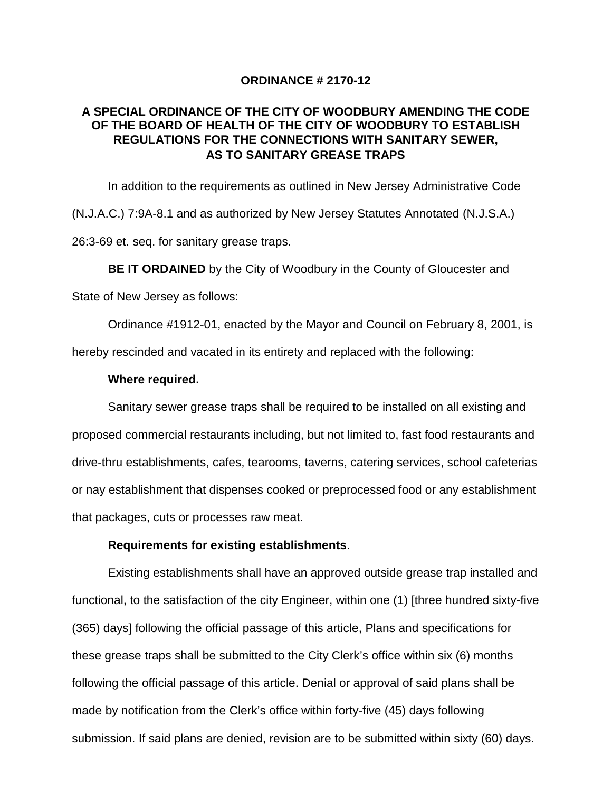### **ORDINANCE # 2170-12**

# **A SPECIAL ORDINANCE OF THE CITY OF WOODBURY AMENDING THE CODE OF THE BOARD OF HEALTH OF THE CITY OF WOODBURY TO ESTABLISH REGULATIONS FOR THE CONNECTIONS WITH SANITARY SEWER, AS TO SANITARY GREASE TRAPS**

In addition to the requirements as outlined in New Jersey Administrative Code (N.J.A.C.) 7:9A-8.1 and as authorized by New Jersey Statutes Annotated (N.J.S.A.) 26:3-69 et. seq. for sanitary grease traps.

**BE IT ORDAINED** by the City of Woodbury in the County of Gloucester and

State of New Jersey as follows:

Ordinance #1912-01, enacted by the Mayor and Council on February 8, 2001, is hereby rescinded and vacated in its entirety and replaced with the following:

### **Where required.**

Sanitary sewer grease traps shall be required to be installed on all existing and proposed commercial restaurants including, but not limited to, fast food restaurants and drive-thru establishments, cafes, tearooms, taverns, catering services, school cafeterias or nay establishment that dispenses cooked or preprocessed food or any establishment that packages, cuts or processes raw meat.

# **Requirements for existing establishments**.

Existing establishments shall have an approved outside grease trap installed and functional, to the satisfaction of the city Engineer, within one (1) [three hundred sixty-five (365) days] following the official passage of this article, Plans and specifications for these grease traps shall be submitted to the City Clerk's office within six (6) months following the official passage of this article. Denial or approval of said plans shall be made by notification from the Clerk's office within forty-five (45) days following submission. If said plans are denied, revision are to be submitted within sixty (60) days.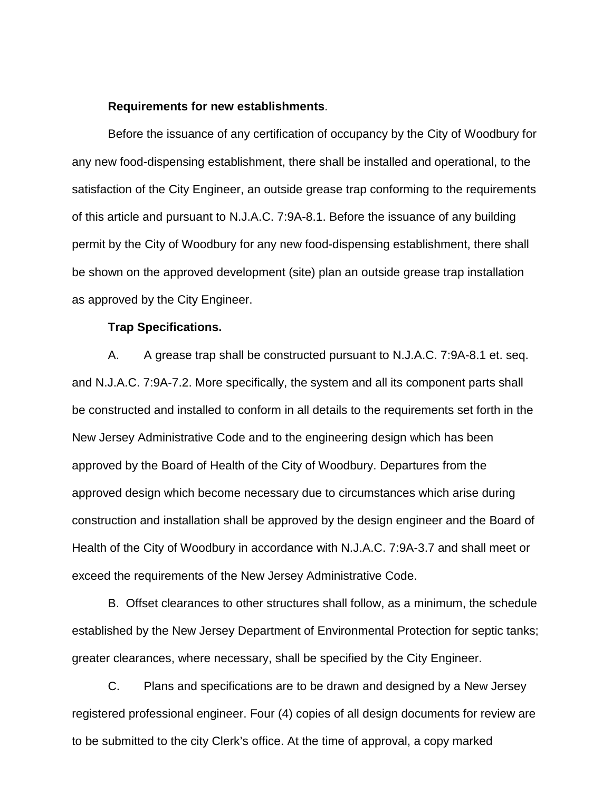#### **Requirements for new establishments**.

Before the issuance of any certification of occupancy by the City of Woodbury for any new food-dispensing establishment, there shall be installed and operational, to the satisfaction of the City Engineer, an outside grease trap conforming to the requirements of this article and pursuant to N.J.A.C. 7:9A-8.1. Before the issuance of any building permit by the City of Woodbury for any new food-dispensing establishment, there shall be shown on the approved development (site) plan an outside grease trap installation as approved by the City Engineer.

### **Trap Specifications.**

A. A grease trap shall be constructed pursuant to N.J.A.C. 7:9A-8.1 et. seq. and N.J.A.C. 7:9A-7.2. More specifically, the system and all its component parts shall be constructed and installed to conform in all details to the requirements set forth in the New Jersey Administrative Code and to the engineering design which has been approved by the Board of Health of the City of Woodbury. Departures from the approved design which become necessary due to circumstances which arise during construction and installation shall be approved by the design engineer and the Board of Health of the City of Woodbury in accordance with N.J.A.C. 7:9A-3.7 and shall meet or exceed the requirements of the New Jersey Administrative Code.

B. Offset clearances to other structures shall follow, as a minimum, the schedule established by the New Jersey Department of Environmental Protection for septic tanks; greater clearances, where necessary, shall be specified by the City Engineer.

C. Plans and specifications are to be drawn and designed by a New Jersey registered professional engineer. Four (4) copies of all design documents for review are to be submitted to the city Clerk's office. At the time of approval, a copy marked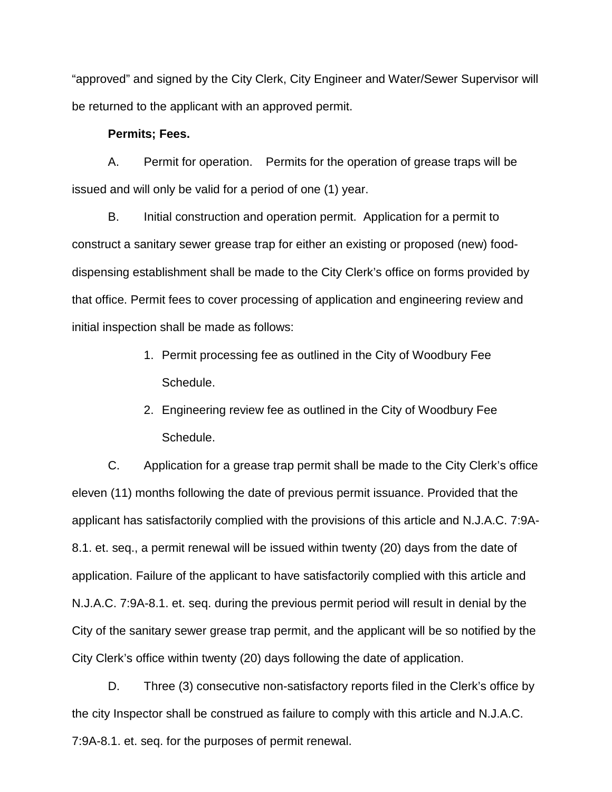"approved" and signed by the City Clerk, City Engineer and Water/Sewer Supervisor will be returned to the applicant with an approved permit.

## **Permits; Fees.**

A. Permit for operation. Permits for the operation of grease traps will be issued and will only be valid for a period of one (1) year.

B. Initial construction and operation permit. Application for a permit to construct a sanitary sewer grease trap for either an existing or proposed (new) fooddispensing establishment shall be made to the City Clerk's office on forms provided by that office. Permit fees to cover processing of application and engineering review and initial inspection shall be made as follows:

- 1. Permit processing fee as outlined in the City of Woodbury Fee Schedule.
- 2. Engineering review fee as outlined in the City of Woodbury Fee Schedule.

C. Application for a grease trap permit shall be made to the City Clerk's office eleven (11) months following the date of previous permit issuance. Provided that the applicant has satisfactorily complied with the provisions of this article and N.J.A.C. 7:9A-8.1. et. seq., a permit renewal will be issued within twenty (20) days from the date of application. Failure of the applicant to have satisfactorily complied with this article and N.J.A.C. 7:9A-8.1. et. seq. during the previous permit period will result in denial by the City of the sanitary sewer grease trap permit, and the applicant will be so notified by the City Clerk's office within twenty (20) days following the date of application.

D. Three (3) consecutive non-satisfactory reports filed in the Clerk's office by the city Inspector shall be construed as failure to comply with this article and N.J.A.C. 7:9A-8.1. et. seq. for the purposes of permit renewal.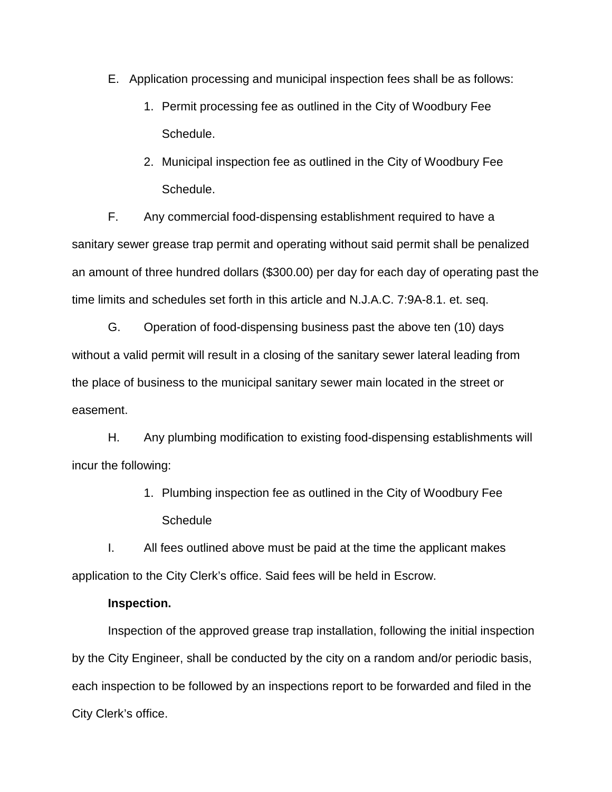- E. Application processing and municipal inspection fees shall be as follows:
	- 1. Permit processing fee as outlined in the City of Woodbury Fee Schedule.
	- 2. Municipal inspection fee as outlined in the City of Woodbury Fee Schedule.

F. Any commercial food-dispensing establishment required to have a sanitary sewer grease trap permit and operating without said permit shall be penalized an amount of three hundred dollars (\$300.00) per day for each day of operating past the time limits and schedules set forth in this article and N.J.A.C. 7:9A-8.1. et. seq.

G. Operation of food-dispensing business past the above ten (10) days without a valid permit will result in a closing of the sanitary sewer lateral leading from the place of business to the municipal sanitary sewer main located in the street or easement.

H. Any plumbing modification to existing food-dispensing establishments will incur the following:

> 1. Plumbing inspection fee as outlined in the City of Woodbury Fee **Schedule**

I. All fees outlined above must be paid at the time the applicant makes application to the City Clerk's office. Said fees will be held in Escrow.

# **Inspection.**

Inspection of the approved grease trap installation, following the initial inspection by the City Engineer, shall be conducted by the city on a random and/or periodic basis, each inspection to be followed by an inspections report to be forwarded and filed in the City Clerk's office.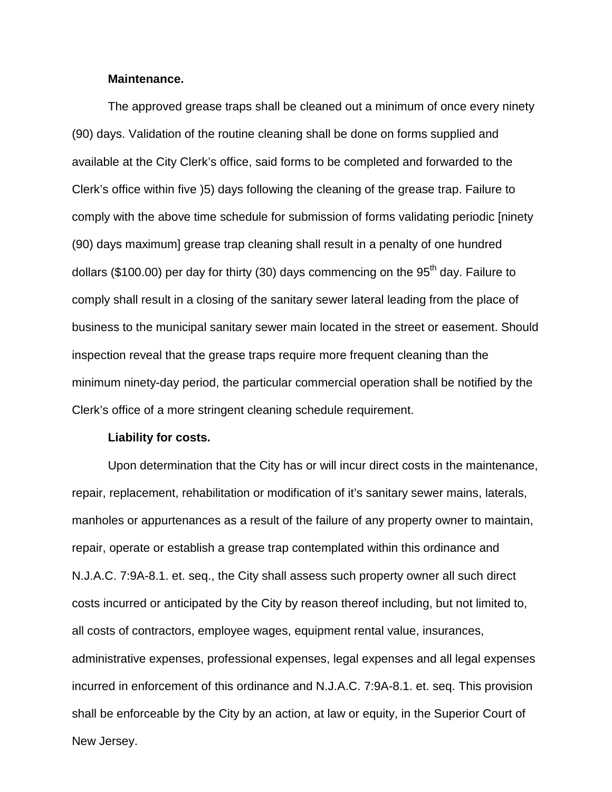### **Maintenance.**

The approved grease traps shall be cleaned out a minimum of once every ninety (90) days. Validation of the routine cleaning shall be done on forms supplied and available at the City Clerk's office, said forms to be completed and forwarded to the Clerk's office within five )5) days following the cleaning of the grease trap. Failure to comply with the above time schedule for submission of forms validating periodic [ninety (90) days maximum] grease trap cleaning shall result in a penalty of one hundred dollars (\$100.00) per day for thirty (30) days commencing on the  $95<sup>th</sup>$  day. Failure to comply shall result in a closing of the sanitary sewer lateral leading from the place of business to the municipal sanitary sewer main located in the street or easement. Should inspection reveal that the grease traps require more frequent cleaning than the minimum ninety-day period, the particular commercial operation shall be notified by the Clerk's office of a more stringent cleaning schedule requirement.

#### **Liability for costs.**

Upon determination that the City has or will incur direct costs in the maintenance, repair, replacement, rehabilitation or modification of it's sanitary sewer mains, laterals, manholes or appurtenances as a result of the failure of any property owner to maintain, repair, operate or establish a grease trap contemplated within this ordinance and N.J.A.C. 7:9A-8.1. et. seq., the City shall assess such property owner all such direct costs incurred or anticipated by the City by reason thereof including, but not limited to, all costs of contractors, employee wages, equipment rental value, insurances, administrative expenses, professional expenses, legal expenses and all legal expenses incurred in enforcement of this ordinance and N.J.A.C. 7:9A-8.1. et. seq. This provision shall be enforceable by the City by an action, at law or equity, in the Superior Court of New Jersey.